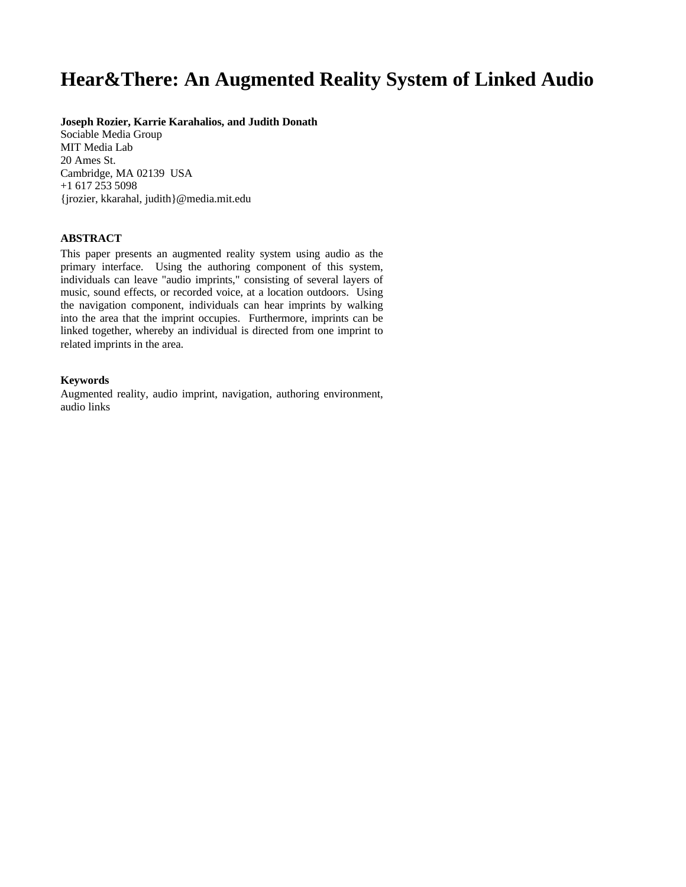# **Hear&There: An Augmented Reality System of Linked Audio**

#### **Joseph Rozier, Karrie Karahalios, and Judith Donath**

Sociable Media Group MIT Media Lab 20 Ames St. Cambridge, MA 02139 USA +1 617 253 5098 {jrozier, kkarahal, judith}@media.mit.edu

# **ABSTRACT**

This paper presents an augmented reality system using audio as the primary interface. Using the authoring component of this system, individuals can leave "audio imprints," consisting of several layers of music, sound effects, or recorded voice, at a location outdoors. Using the navigation component, individuals can hear imprints by walking into the area that the imprint occupies. Furthermore, imprints can be linked together, whereby an individual is directed from one imprint to related imprints in the area.

#### **Keywords**

Augmented reality, audio imprint, navigation, authoring environment, audio links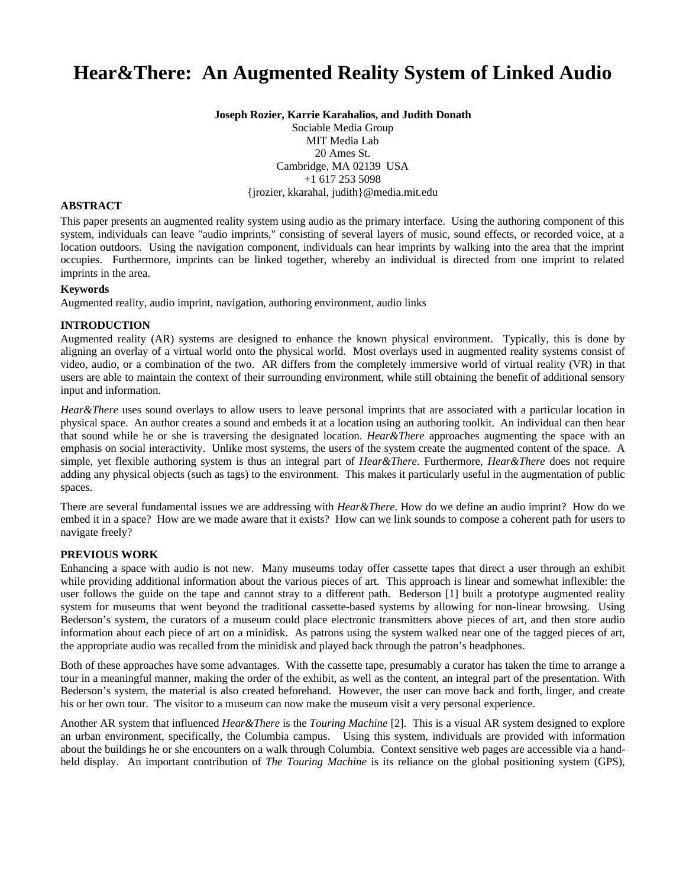# **Hear&There: An Augmented Reality System of Linked Audio**

**Joseph Rozier, Karrie Karahalios, and Judith Donath**

Sociable Media Group MIT Media Lab 20 Ames St. Cambridge, MA 02139 USA +1 617 253 5098 {jrozier, kkarahal, judith}@media.mit.edu

### **ABSTRACT**

This paper presents an augmented reality system using audio as the primary interface. Using the authoring component of this system, individuals can leave "audio imprints," consisting of several layers of music, sound effects, or recorded voice, at a location outdoors. Using the navigation component, individuals can hear imprints by walking into the area that the imprint occupies. Furthermore, imprints can be linked together, whereby an individual is directed from one imprint to related imprints in the area.

### **Keywords**

Augmented reality, audio imprint, navigation, authoring environment, audio links

# **INTRODUCTION**

Augmented reality (AR) systems are designed to enhance the known physical environment. Typically, this is done by aligning an overlay of a virtual world onto the physical world. Most overlays used in augmented reality systems consist of video, audio, or a combination of the two. AR differs from the completely immersive world of virtual reality (VR) in that users are able to maintain the context of their surrounding environment, while still obtaining the benefit of additional sensory input and information.

*Hear&There* uses sound overlays to allow users to leave personal imprints that are associated with a particular location in physical space. An author creates a sound and embeds it at a location using an authoring toolkit. An individual can then hear that sound while he or she is traversing the designated location. *Hear&There* approaches augmenting the space with an emphasis on social interactivity. Unlike most systems, the users of the system create the augmented content of the space. A simple, yet flexible authoring system is thus an integral part of *Hear&There*. Furthermore, *Hear&There* does not require adding any physical objects (such as tags) to the environment. This makes it particularly useful in the augmentation of public spaces.

There are several fundamental issues we are addressing with *Hear&There*. How do we define an audio imprint? How do we embed it in a space? How are we made aware that it exists? How can we link sounds to compose a coherent path for users to navigate freely?

# **PREVIOUS WORK**

Enhancing a space with audio is not new. Many museums today offer cassette tapes that direct a user through an exhibit while providing additional information about the various pieces of art. This approach is linear and somewhat inflexible: the user follows the guide on the tape and cannot stray to a different path. Bederson [1] built a prototype augmented reality system for museums that went beyond the traditional cassette-based systems by allowing for non-linear browsing. Using Bederson's system, the curators of a museum could place electronic transmitters above pieces of art, and then store audio information about each piece of art on a minidisk. As patrons using the system walked near one of the tagged pieces of art, the appropriate audio was recalled from the minidisk and played back through the patron's headphones.

Both of these approaches have some advantages. With the cassette tape, presumably a curator has taken the time to arrange a tour in a meaningful manner, making the order of the exhibit, as well as the content, an integral part of the presentation. With Bederson's system, the material is also created beforehand. However, the user can move back and forth, linger, and create his or her own tour. The visitor to a museum can now make the museum visit a very personal experience.

Another AR system that influenced *Hear&There* is the *Touring Machine* [2]. This is a visual AR system designed to explore an urban environment, specifically, the Columbia campus. Using this system, individuals are provided with information about the buildings he or she encounters on a walk through Columbia. Context sensitive web pages are accessible via a handheld display. An important contribution of *The Touring Machine* is its reliance on the global positioning system (GPS),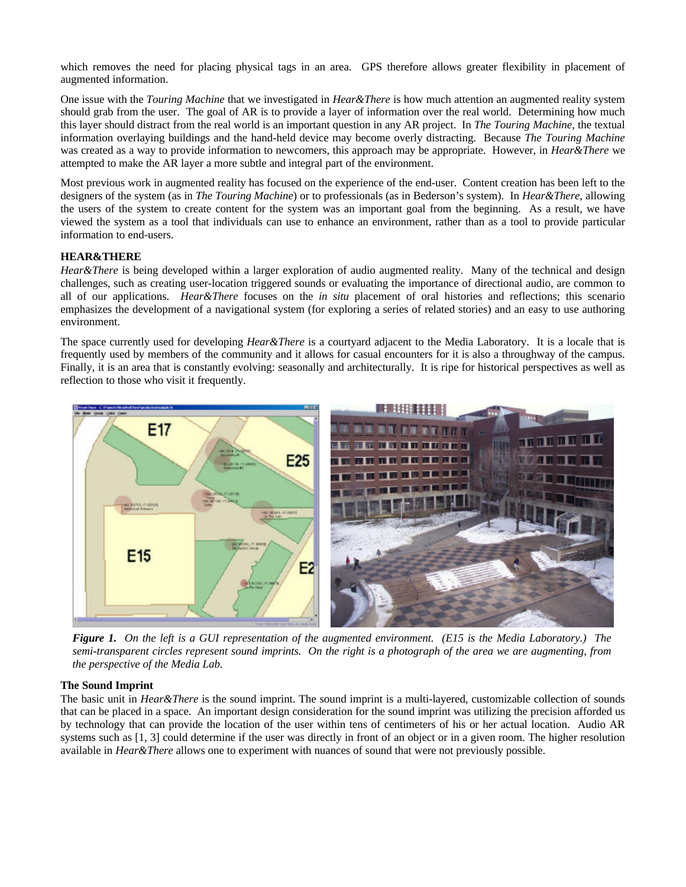which removes the need for placing physical tags in an area. GPS therefore allows greater flexibility in placement of augmented information.

One issue with the *Touring Machine* that we investigated in *Hear&There* is how much attention an augmented reality system should grab from the user. The goal of AR is to provide a layer of information over the real world. Determining how much this layer should distract from the real world is an important question in any AR project. In *The Touring Machine*, the textual information overlaying buildings and the hand-held device may become overly distracting. Because *The Touring Machine* was created as a way to provide information to newcomers, this approach may be appropriate. However, in *Hear&There* we attempted to make the AR layer a more subtle and integral part of the environment.

Most previous work in augmented reality has focused on the experience of the end-user. Content creation has been left to the designers of the system (as in *The Touring Machine*) or to professionals (as in Bederson's system). In *Hear&There*, allowing the users of the system to create content for the system was an important goal from the beginning. As a result, we have viewed the system as a tool that individuals can use to enhance an environment, rather than as a tool to provide particular information to end-users.

### **HEAR&THERE**

*Hear&There* is being developed within a larger exploration of audio augmented reality. Many of the technical and design challenges, such as creating user-location triggered sounds or evaluating the importance of directional audio, are common to all of our applications. *Hear&There* focuses on the *in situ* placement of oral histories and reflections; this scenario emphasizes the development of a navigational system (for exploring a series of related stories) and an easy to use authoring environment.

The space currently used for developing *Hear&There* is a courtyard adjacent to the Media Laboratory. It is a locale that is frequently used by members of the community and it allows for casual encounters for it is also a throughway of the campus. Finally, it is an area that is constantly evolving: seasonally and architecturally. It is ripe for historical perspectives as well as reflection to those who visit it frequently.



*Figure 1. On the left is a GUI representation of the augmented environment. (E15 is the Media Laboratory.) The semi-transparent circles represent sound imprints. On the right is a photograph of the area we are augmenting, from the perspective of the Media Lab.*

#### **The Sound Imprint**

The basic unit in *Hear&There* is the sound imprint. The sound imprint is a multi-layered, customizable collection of sounds that can be placed in a space. An important design consideration for the sound imprint was utilizing the precision afforded us by technology that can provide the location of the user within tens of centimeters of his or her actual location. Audio AR systems such as [1, 3] could determine if the user was directly in front of an object or in a given room. The higher resolution available in *Hear&There* allows one to experiment with nuances of sound that were not previously possible.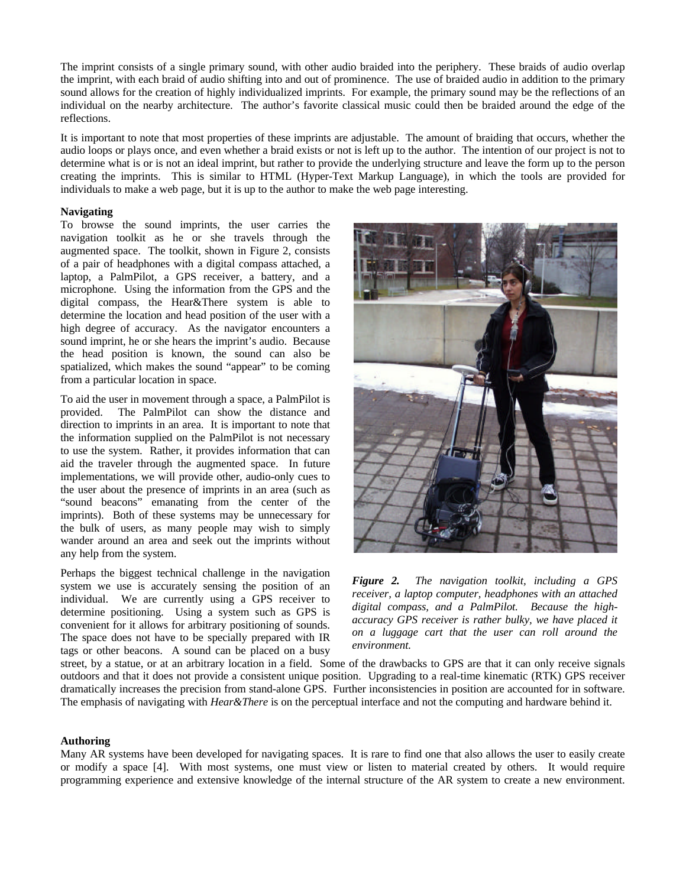The imprint consists of a single primary sound, with other audio braided into the periphery. These braids of audio overlap the imprint, with each braid of audio shifting into and out of prominence. The use of braided audio in addition to the primary sound allows for the creation of highly individualized imprints. For example, the primary sound may be the reflections of an individual on the nearby architecture. The author's favorite classical music could then be braided around the edge of the reflections.

It is important to note that most properties of these imprints are adjustable. The amount of braiding that occurs, whether the audio loops or plays once, and even whether a braid exists or not is left up to the author. The intention of our project is not to determine what is or is not an ideal imprint, but rather to provide the underlying structure and leave the form up to the person creating the imprints. This is similar to HTML (Hyper-Text Markup Language), in which the tools are provided for individuals to make a web page, but it is up to the author to make the web page interesting.

## **Navigating**

To browse the sound imprints, the user carries the navigation toolkit as he or she travels through the augmented space. The toolkit, shown in Figure 2, consists of a pair of headphones with a digital compass attached, a laptop, a PalmPilot, a GPS receiver, a battery, and a microphone. Using the information from the GPS and the digital compass, the Hear&There system is able to determine the location and head position of the user with a high degree of accuracy. As the navigator encounters a sound imprint, he or she hears the imprint's audio. Because the head position is known, the sound can also be spatialized, which makes the sound "appear" to be coming from a particular location in space.

To aid the user in movement through a space, a PalmPilot is provided. The PalmPilot can show the distance and direction to imprints in an area. It is important to note that the information supplied on the PalmPilot is not necessary to use the system. Rather, it provides information that can aid the traveler through the augmented space. In future implementations, we will provide other, audio-only cues to the user about the presence of imprints in an area (such as "sound beacons" emanating from the center of the imprints). Both of these systems may be unnecessary for the bulk of users, as many people may wish to simply wander around an area and seek out the imprints without any help from the system.

Perhaps the biggest technical challenge in the navigation system we use is accurately sensing the position of an individual. We are currently using a GPS receiver to determine positioning. Using a system such as GPS is convenient for it allows for arbitrary positioning of sounds. The space does not have to be specially prepared with IR tags or other beacons. A sound can be placed on a busy



*Figure 2. The navigation toolkit, including a GPS receiver, a laptop computer, headphones with an attached digital compass, and a PalmPilot. Because the highaccuracy GPS receiver is rather bulky, we have placed it on a luggage cart that the user can roll around the environment.*

street, by a statue, or at an arbitrary location in a field. Some of the drawbacks to GPS are that it can only receive signals outdoors and that it does not provide a consistent unique position. Upgrading to a real-time kinematic (RTK) GPS receiver dramatically increases the precision from stand-alone GPS. Further inconsistencies in position are accounted for in software. The emphasis of navigating with *Hear&There* is on the perceptual interface and not the computing and hardware behind it.

#### **Authoring**

Many AR systems have been developed for navigating spaces. It is rare to find one that also allows the user to easily create or modify a space [4]. With most systems, one must view or listen to material created by others. It would require programming experience and extensive knowledge of the internal structure of the AR system to create a new environment.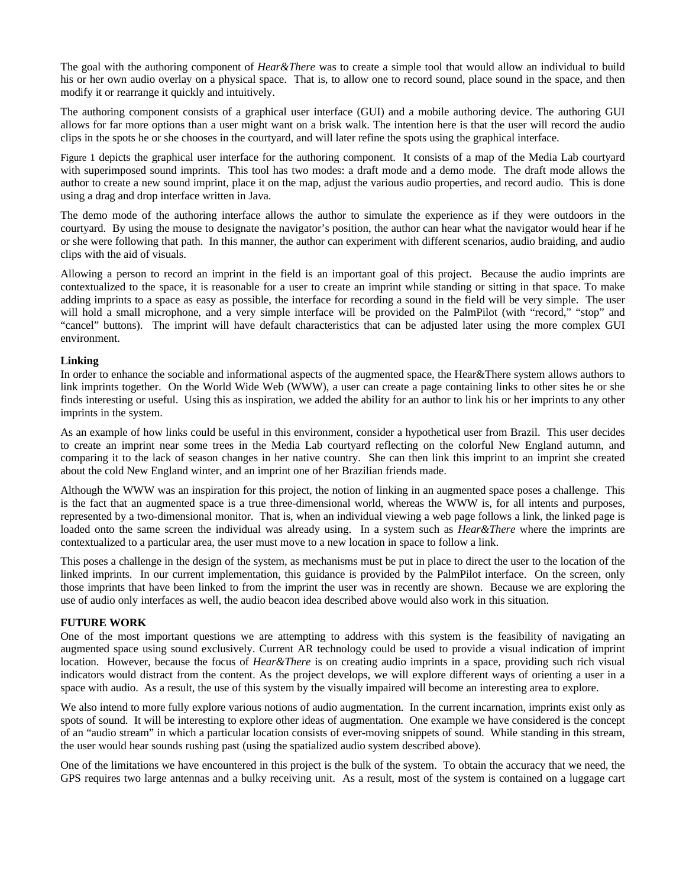The goal with the authoring component of *Hear&There* was to create a simple tool that would allow an individual to build his or her own audio overlay on a physical space. That is, to allow one to record sound, place sound in the space, and then modify it or rearrange it quickly and intuitively.

The authoring component consists of a graphical user interface (GUI) and a mobile authoring device. The authoring GUI allows for far more options than a user might want on a brisk walk. The intention here is that the user will record the audio clips in the spots he or she chooses in the courtyard, and will later refine the spots using the graphical interface.

Figure 1 depicts the graphical user interface for the authoring component. It consists of a map of the Media Lab courtyard with superimposed sound imprints. This tool has two modes: a draft mode and a demo mode. The draft mode allows the author to create a new sound imprint, place it on the map, adjust the various audio properties, and record audio. This is done using a drag and drop interface written in Java.

The demo mode of the authoring interface allows the author to simulate the experience as if they were outdoors in the courtyard. By using the mouse to designate the navigator's position, the author can hear what the navigator would hear if he or she were following that path. In this manner, the author can experiment with different scenarios, audio braiding, and audio clips with the aid of visuals.

Allowing a person to record an imprint in the field is an important goal of this project. Because the audio imprints are contextualized to the space, it is reasonable for a user to create an imprint while standing or sitting in that space. To make adding imprints to a space as easy as possible, the interface for recording a sound in the field will be very simple. The user will hold a small microphone, and a very simple interface will be provided on the PalmPilot (with "record," "stop" and "cancel" buttons). The imprint will have default characteristics that can be adjusted later using the more complex GUI environment.

### **Linking**

In order to enhance the sociable and informational aspects of the augmented space, the Hear&There system allows authors to link imprints together. On the World Wide Web (WWW), a user can create a page containing links to other sites he or she finds interesting or useful. Using this as inspiration, we added the ability for an author to link his or her imprints to any other imprints in the system.

As an example of how links could be useful in this environment, consider a hypothetical user from Brazil. This user decides to create an imprint near some trees in the Media Lab courtyard reflecting on the colorful New England autumn, and comparing it to the lack of season changes in her native country. She can then link this imprint to an imprint she created about the cold New England winter, and an imprint one of her Brazilian friends made.

Although the WWW was an inspiration for this project, the notion of linking in an augmented space poses a challenge. This is the fact that an augmented space is a true three-dimensional world, whereas the WWW is, for all intents and purposes, represented by a two-dimensional monitor. That is, when an individual viewing a web page follows a link, the linked page is loaded onto the same screen the individual was already using. In a system such as *Hear&There* where the imprints are contextualized to a particular area, the user must move to a new location in space to follow a link.

This poses a challenge in the design of the system, as mechanisms must be put in place to direct the user to the location of the linked imprints. In our current implementation, this guidance is provided by the PalmPilot interface. On the screen, only those imprints that have been linked to from the imprint the user was in recently are shown. Because we are exploring the use of audio only interfaces as well, the audio beacon idea described above would also work in this situation.

#### **FUTURE WORK**

One of the most important questions we are attempting to address with this system is the feasibility of navigating an augmented space using sound exclusively. Current AR technology could be used to provide a visual indication of imprint location. However, because the focus of *Hear&There* is on creating audio imprints in a space, providing such rich visual indicators would distract from the content. As the project develops, we will explore different ways of orienting a user in a space with audio. As a result, the use of this system by the visually impaired will become an interesting area to explore.

We also intend to more fully explore various notions of audio augmentation. In the current incarnation, imprints exist only as spots of sound. It will be interesting to explore other ideas of augmentation. One example we have considered is the concept of an "audio stream" in which a particular location consists of ever-moving snippets of sound. While standing in this stream, the user would hear sounds rushing past (using the spatialized audio system described above).

One of the limitations we have encountered in this project is the bulk of the system. To obtain the accuracy that we need, the GPS requires two large antennas and a bulky receiving unit. As a result, most of the system is contained on a luggage cart